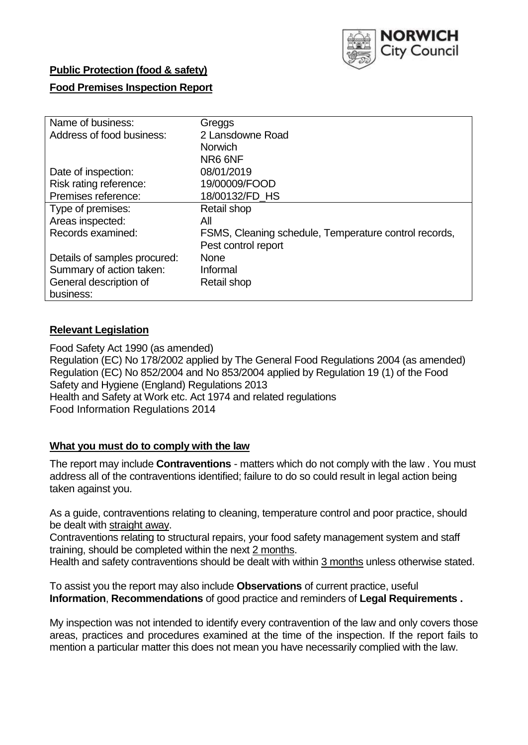

# **Public Protection (food & safety)**

### **Food Premises Inspection Report**

| Name of business:            | Greggs                                                |
|------------------------------|-------------------------------------------------------|
| Address of food business:    | 2 Lansdowne Road                                      |
|                              | <b>Norwich</b>                                        |
|                              | NR6 6NF                                               |
| Date of inspection:          | 08/01/2019                                            |
| Risk rating reference:       | 19/00009/FOOD                                         |
| Premises reference:          | 18/00132/FD HS                                        |
| Type of premises:            | Retail shop                                           |
| Areas inspected:             | All                                                   |
| Records examined:            | FSMS, Cleaning schedule, Temperature control records, |
|                              | Pest control report                                   |
| Details of samples procured: | <b>None</b>                                           |
| Summary of action taken:     | Informal                                              |
| General description of       | Retail shop                                           |
| business:                    |                                                       |

## **Relevant Legislation**

Food Safety Act 1990 (as amended) Regulation (EC) No 178/2002 applied by The General Food Regulations 2004 (as amended) Regulation (EC) No 852/2004 and No 853/2004 applied by Regulation 19 (1) of the Food Safety and Hygiene (England) Regulations 2013 Health and Safety at Work etc. Act 1974 and related regulations Food Information Regulations 2014

#### **What you must do to comply with the law**

The report may include **Contraventions** - matters which do not comply with the law . You must address all of the contraventions identified; failure to do so could result in legal action being taken against you.

As a guide, contraventions relating to cleaning, temperature control and poor practice, should be dealt with straight away.

Contraventions relating to structural repairs, your food safety management system and staff training, should be completed within the next 2 months.

Health and safety contraventions should be dealt with within 3 months unless otherwise stated.

To assist you the report may also include **Observations** of current practice, useful **Information**, **Recommendations** of good practice and reminders of **Legal Requirements .**

My inspection was not intended to identify every contravention of the law and only covers those areas, practices and procedures examined at the time of the inspection. If the report fails to mention a particular matter this does not mean you have necessarily complied with the law.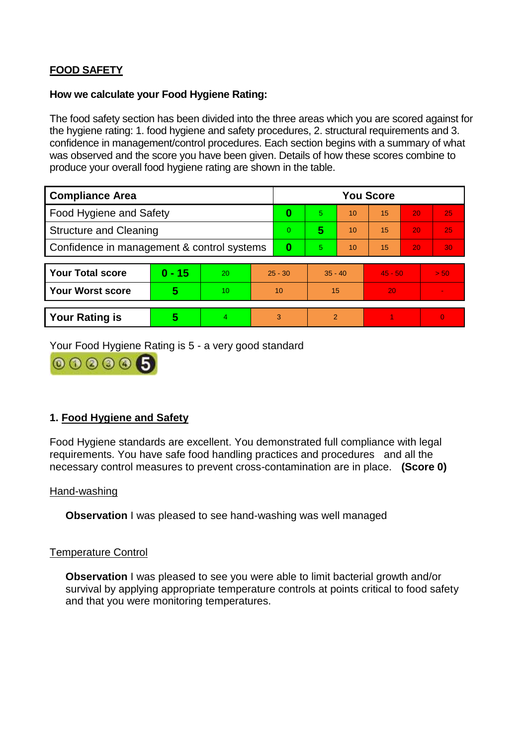# **FOOD SAFETY**

#### **How we calculate your Food Hygiene Rating:**

The food safety section has been divided into the three areas which you are scored against for the hygiene rating: 1. food hygiene and safety procedures, 2. structural requirements and 3. confidence in management/control procedures. Each section begins with a summary of what was observed and the score you have been given. Details of how these scores combine to produce your overall food hygiene rating are shown in the table.

| <b>Compliance Area</b>                     |          |    |                | <b>You Score</b> |                |    |           |    |                |  |  |
|--------------------------------------------|----------|----|----------------|------------------|----------------|----|-----------|----|----------------|--|--|
| Food Hygiene and Safety                    |          |    | 0              | 5.               | 10             | 15 | 20        | 25 |                |  |  |
| <b>Structure and Cleaning</b>              |          |    | $\overline{0}$ | 5                | 10             | 15 | 20        | 25 |                |  |  |
| Confidence in management & control systems |          |    | 0              | 5                | 10             | 15 | 20        | 30 |                |  |  |
|                                            |          |    |                |                  |                |    |           |    |                |  |  |
| <b>Your Total score</b>                    | $0 - 15$ | 20 | $25 - 30$      |                  | $35 - 40$      |    | $45 - 50$ |    | > 50           |  |  |
| <b>Your Worst score</b>                    | 5        | 10 | 10             |                  | 15             |    | 20        |    | $\blacksquare$ |  |  |
|                                            |          |    |                |                  |                |    |           |    |                |  |  |
| <b>Your Rating is</b>                      | 5        | 4  | 3              |                  | $\overline{2}$ |    |           |    | $\Omega$       |  |  |

Your Food Hygiene Rating is 5 - a very good standard



# **1. Food Hygiene and Safety**

Food Hygiene standards are excellent. You demonstrated full compliance with legal requirements. You have safe food handling practices and procedures and all the necessary control measures to prevent cross-contamination are in place. **(Score 0)**

#### Hand-washing

**Observation I** was pleased to see hand-washing was well managed

#### Temperature Control

**Observation** I was pleased to see you were able to limit bacterial growth and/or survival by applying appropriate temperature controls at points critical to food safety and that you were monitoring temperatures.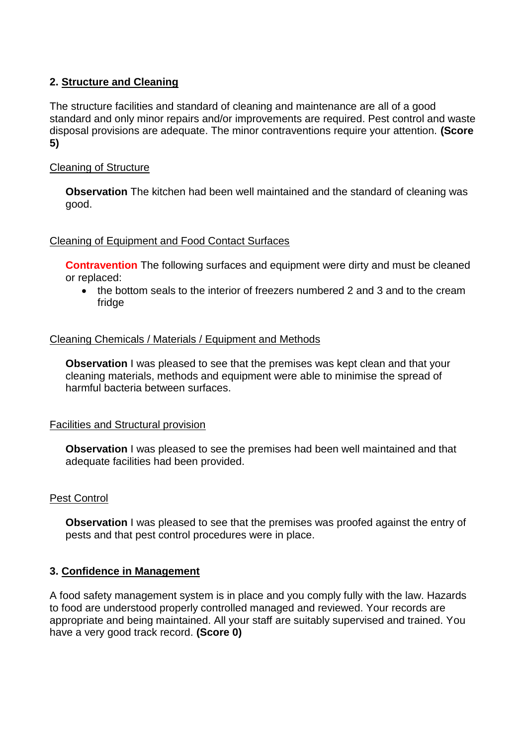# **2. Structure and Cleaning**

The structure facilities and standard of cleaning and maintenance are all of a good standard and only minor repairs and/or improvements are required. Pest control and waste disposal provisions are adequate. The minor contraventions require your attention. **(Score 5)**

# Cleaning of Structure

**Observation** The kitchen had been well maintained and the standard of cleaning was good.

#### Cleaning of Equipment and Food Contact Surfaces

**Contravention** The following surfaces and equipment were dirty and must be cleaned or replaced:

• the bottom seals to the interior of freezers numbered 2 and 3 and to the cream fridge

## Cleaning Chemicals / Materials / Equipment and Methods

**Observation** I was pleased to see that the premises was kept clean and that your cleaning materials, methods and equipment were able to minimise the spread of harmful bacteria between surfaces.

#### Facilities and Structural provision

**Observation I** was pleased to see the premises had been well maintained and that adequate facilities had been provided.

#### Pest Control

**Observation** I was pleased to see that the premises was proofed against the entry of pests and that pest control procedures were in place.

#### **3. Confidence in Management**

A food safety management system is in place and you comply fully with the law. Hazards to food are understood properly controlled managed and reviewed. Your records are appropriate and being maintained. All your staff are suitably supervised and trained. You have a very good track record. **(Score 0)**